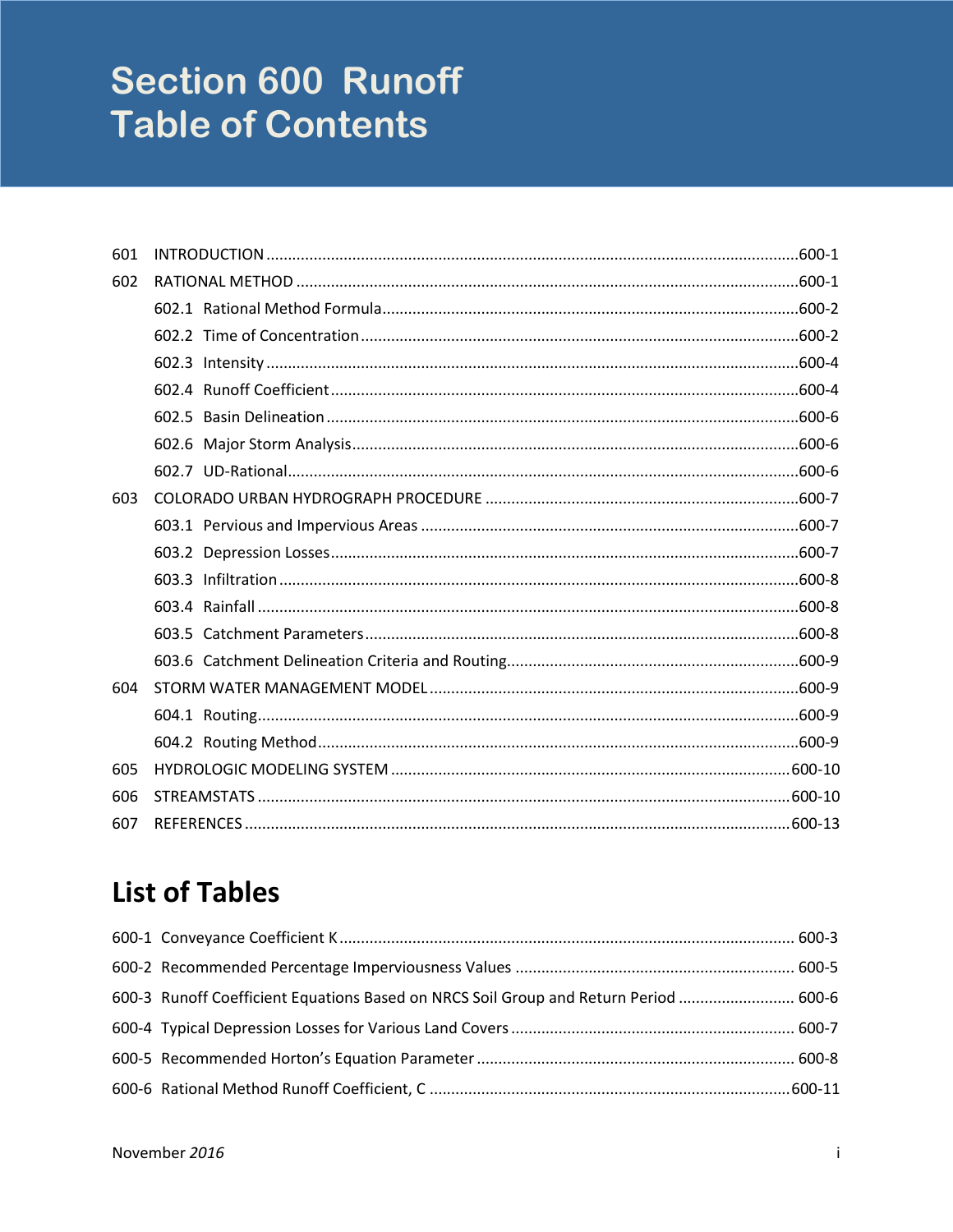# **Section 600 Runoff Table of Contents**

| 601 |  |
|-----|--|
| 602 |  |
|     |  |
|     |  |
|     |  |
|     |  |
|     |  |
|     |  |
|     |  |
| 603 |  |
|     |  |
|     |  |
|     |  |
|     |  |
|     |  |
|     |  |
| 604 |  |
|     |  |
|     |  |
| 605 |  |
| 606 |  |
| 607 |  |

# **List of Tables**

| 600-3 Runoff Coefficient Equations Based on NRCS Soil Group and Return Period  600-6 |  |
|--------------------------------------------------------------------------------------|--|
|                                                                                      |  |
|                                                                                      |  |
|                                                                                      |  |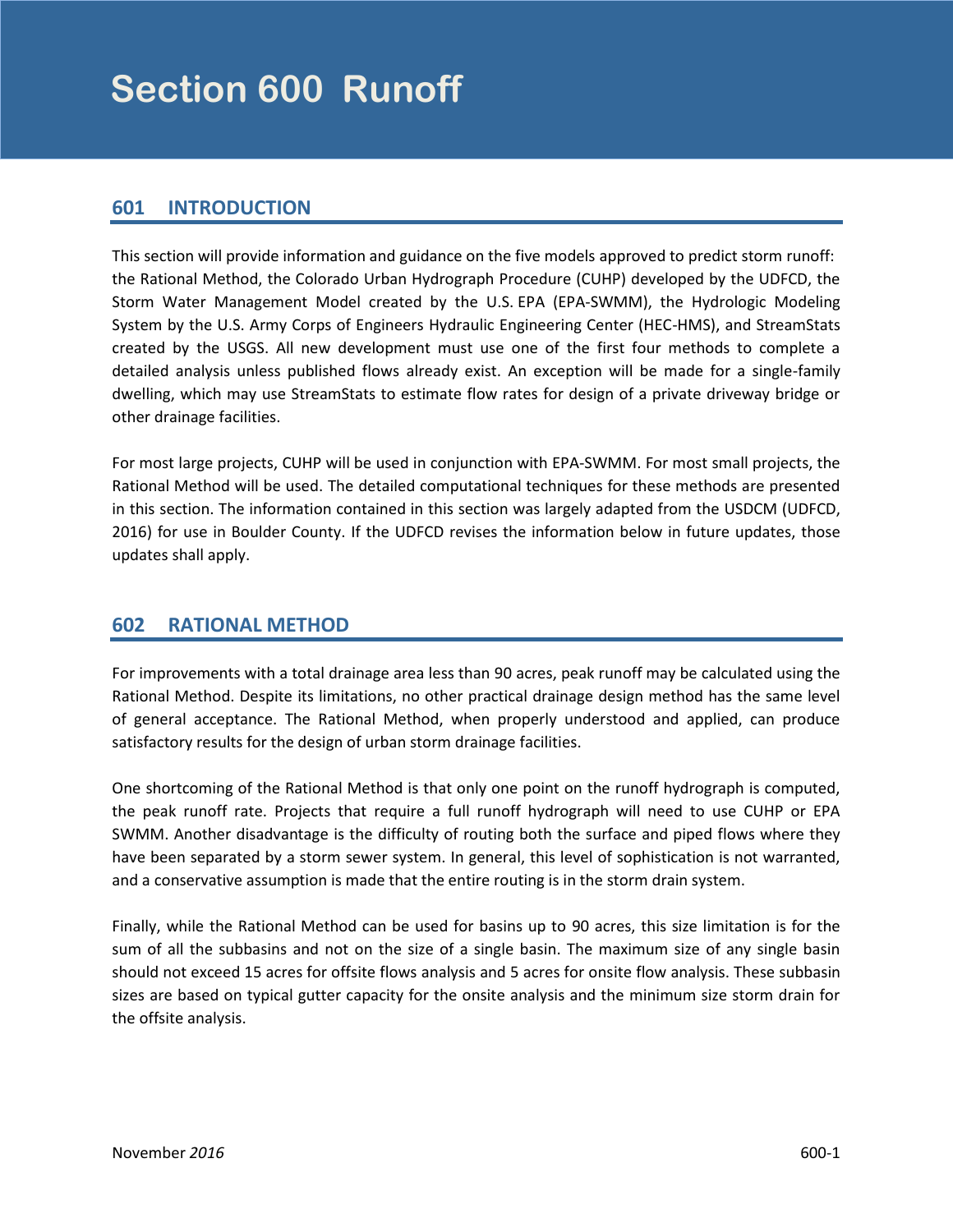# <span id="page-2-0"></span>**601 INTRODUCTION**

This section will provide information and guidance on the five models approved to predict storm runoff: the Rational Method, the Colorado Urban Hydrograph Procedure (CUHP) developed by the UDFCD, the Storm Water Management Model created by the U.S. EPA (EPA-SWMM), the Hydrologic Modeling System by the U.S. Army Corps of Engineers Hydraulic Engineering Center (HEC-HMS), and StreamStats created by the USGS. All new development must use one of the first four methods to complete a detailed analysis unless published flows already exist. An exception will be made for a single-family dwelling, which may use StreamStats to estimate flow rates for design of a private driveway bridge or other drainage facilities.

For most large projects, CUHP will be used in conjunction with EPA-SWMM. For most small projects, the Rational Method will be used. The detailed computational techniques for these methods are presented in this section. The information contained in this section was largely adapted from the USDCM (UDFCD, 2016) for use in Boulder County. If the UDFCD revises the information below in future updates, those updates shall apply.

# **602 RATIONAL METHOD**

For improvements with a total drainage area less than 90 acres, peak runoff may be calculated using the Rational Method. Despite its limitations, no other practical drainage design method has the same level of general acceptance. The Rational Method, when properly understood and applied, can produce satisfactory results for the design of urban storm drainage facilities.

One shortcoming of the Rational Method is that only one point on the runoff hydrograph is computed, the peak runoff rate. Projects that require a full runoff hydrograph will need to use CUHP or EPA SWMM. Another disadvantage is the difficulty of routing both the surface and piped flows where they have been separated by a storm sewer system. In general, this level of sophistication is not warranted, and a conservative assumption is made that the entire routing is in the storm drain system.

Finally, while the Rational Method can be used for basins up to 90 acres, this size limitation is for the sum of all the subbasins and not on the size of a single basin. The maximum size of any single basin should not exceed 15 acres for offsite flows analysis and 5 acres for onsite flow analysis. These subbasin sizes are based on typical gutter capacity for the onsite analysis and the minimum size storm drain for the offsite analysis.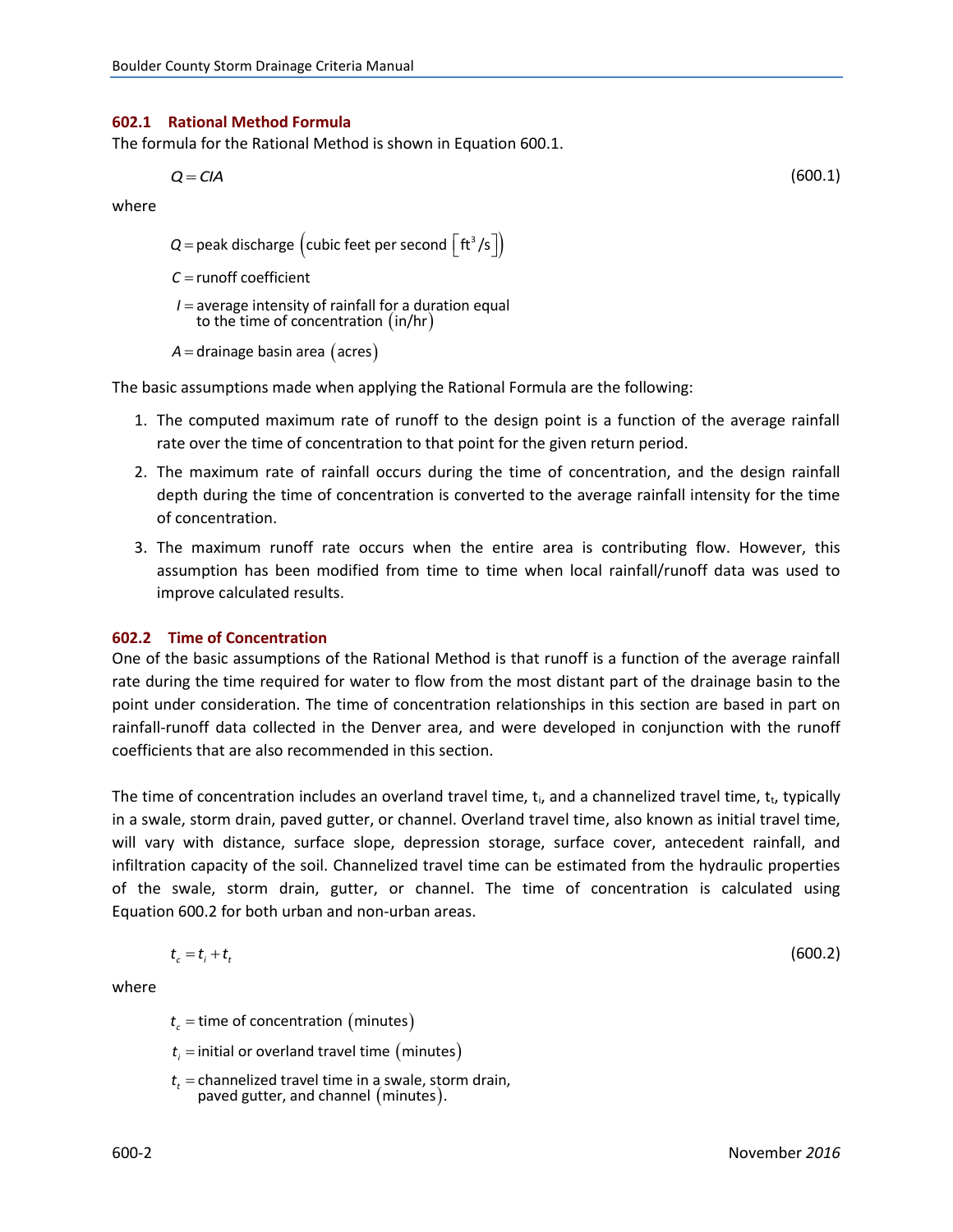#### <span id="page-3-0"></span>**602.1 Rational Method Formula**

The formula for the Rational Method is shown in Equation 600.1.

$$
Q = CIA \tag{600.1}
$$

where

 $\mathcal{Q}$ =peak discharge  $\left(\textsf{cubic feet per second } \left\lceil\textsf{ft}^3\textsf{/s}\right\rceil\right)$ 

runoff coefficient *C*

to the time of concentration  $(in/hr)$ I = average intensity of rainfall for a duration equal

```
A = drainage basin area (acres)
```
The basic assumptions made when applying the Rational Formula are the following:

- 1. The computed maximum rate of runoff to the design point is a function of the average rainfall rate over the time of concentration to that point for the given return period.
- 2. The maximum rate of rainfall occurs during the time of concentration, and the design rainfall depth during the time of concentration is converted to the average rainfall intensity for the time of concentration.
- 3. The maximum runoff rate occurs when the entire area is contributing flow. However, this assumption has been modified from time to time when local rainfall/runoff data was used to improve calculated results.

#### **602.2 Time of Concentration**

One of the basic assumptions of the Rational Method is that runoff is a function of the average rainfall rate during the time required for water to flow from the most distant part of the drainage basin to the point under consideration. The time of concentration relationships in this section are based in part on rainfall-runoff data collected in the Denver area, and were developed in conjunction with the runoff coefficients that are also recommended in this section.

The time of concentration includes an overland travel time,  $t_i$ , and a channelized travel time,  $t_i$ , typically in a swale, storm drain, paved gutter, or channel. Overland travel time, also known as initial travel time, will vary with distance, surface slope, depression storage, surface cover, antecedent rainfall, and infiltration capacity of the soil. Channelized travel time can be estimated from the hydraulic properties of the swale, storm drain, gutter, or channel. The time of concentration is calculated using Equation 600.2 for both urban and non-urban areas.

$$
t_c = t_i + t_t \tag{600.2}
$$

where

 $t_c$  = time of concentration (minutes)

- $t_{\scriptscriptstyle \it i}$  = initial or overland travel time  $\,$  (minutes)
- paved gutter, and channel  $(minutes)$ .  $t_t$  = channelized travel time in a swale, storm drain,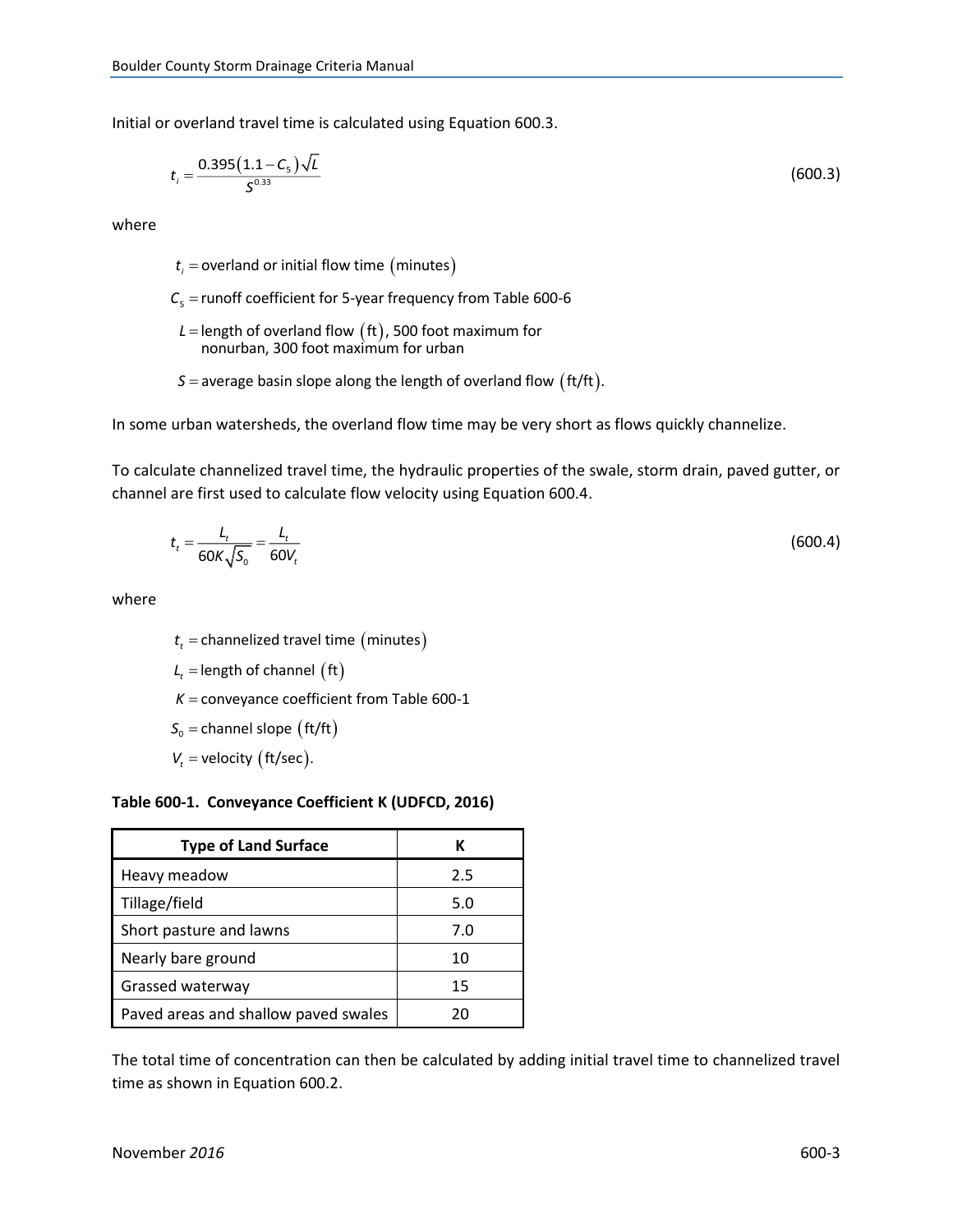<span id="page-4-0"></span>Initial or overland travel time is calculated using Equation 600.3.

$$
t_i = \frac{0.395(1.1 - C_5)\sqrt{L}}{S^{0.33}}
$$
(600.3)

where

 $t_{i}$  = overland or initial flow time  $\,$  (minutes)

5 runoff coefficient for 5-year frequency from Table 600-6 *C*

- L = length of overland flow  $\left(\text{ft}\right)$ , 500 foot maximum for nonurban, 300 foot maximum for urban
- $\mathcal{S}=$  average basin slope along the length of overland flow  $\big(\text{ft/ft}\big).$

In some urban watersheds, the overland flow time may be very short as flows quickly channelize.

To calculate channelized travel time, the hydraulic properties of the swale, storm drain, paved gutter, or channel are first used to calculate flow velocity using Equation 600.4.

$$
t_t = \frac{L_t}{60K\sqrt{S_0}} = \frac{L_t}{60V_t}
$$
\n(600.4)

where

 $t_t$  = channelized travel time  $\big(\text{minutes}\big)$ 

 $L_t =$  length of channel  $\text{(ft)}$ 

 $K =$  conveyance coefficient from Table 600-1

 $S_0$  = channel slope  $\left(\frac{\text{ft}}{\text{ft}}\right)$ 

 $V_t$  = velocity (ft/sec).

#### **Table 600-1. Conveyance Coefficient K (UDFCD, 2016)**

| <b>Type of Land Surface</b>          | к   |
|--------------------------------------|-----|
| Heavy meadow                         | 2.5 |
| Tillage/field                        | 5.0 |
| Short pasture and lawns              | 7.0 |
| Nearly bare ground                   | 10  |
| Grassed waterway                     | 15  |
| Paved areas and shallow paved swales | 20  |

The total time of concentration can then be calculated by adding initial travel time to channelized travel time as shown in Equation 600.2.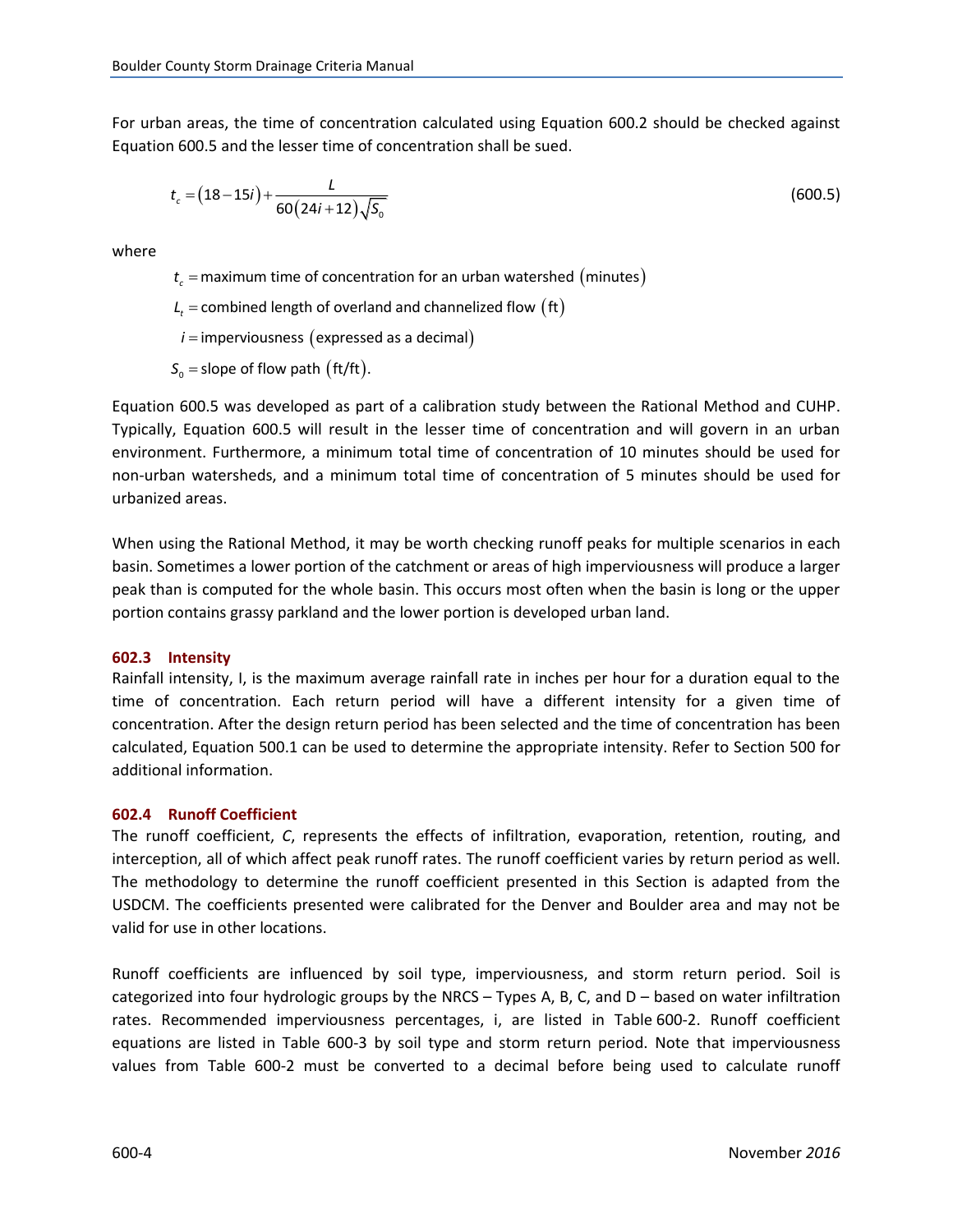<span id="page-5-0"></span>For urban areas, the time of concentration calculated using Equation 600.2 should be checked against Equation 600.5 and the lesser time of concentration shall be sued.

$$
t_c = (18-15i) + \frac{L}{60(24i+12)\sqrt{50}}
$$
\n(600.5)

where

 $t_c$  = maximum time of concentration for an urban watershed  $\,mathrm{(minutes)}$ 

 $L_{t}$  = combined length of overland and channelized flow  $\begin{pmatrix} \text{ft} \end{pmatrix}$ 

 $i =$  imperviousness (expressed as a decimal)

 $S_0$  = slope of flow path (ft/ft).

Equation 600.5 was developed as part of a calibration study between the Rational Method and CUHP. Typically, Equation 600.5 will result in the lesser time of concentration and will govern in an urban environment. Furthermore, a minimum total time of concentration of 10 minutes should be used for non-urban watersheds, and a minimum total time of concentration of 5 minutes should be used for urbanized areas.

When using the Rational Method, it may be worth checking runoff peaks for multiple scenarios in each basin. Sometimes a lower portion of the catchment or areas of high imperviousness will produce a larger peak than is computed for the whole basin. This occurs most often when the basin is long or the upper portion contains grassy parkland and the lower portion is developed urban land.

#### **602.3 Intensity**

Rainfall intensity, I, is the maximum average rainfall rate in inches per hour for a duration equal to the time of concentration. Each return period will have a different intensity for a given time of concentration. After the design return period has been selected and the time of concentration has been calculated, Equation 500.1 can be used to determine the appropriate intensity. Refer to Section 500 for additional information.

#### **602.4 Runoff Coefficient**

The runoff coefficient, *C*, represents the effects of infiltration, evaporation, retention, routing, and interception, all of which affect peak runoff rates. The runoff coefficient varies by return period as well. The methodology to determine the runoff coefficient presented in this Section is adapted from the USDCM. The coefficients presented were calibrated for the Denver and Boulder area and may not be valid for use in other locations.

Runoff coefficients are influenced by soil type, imperviousness, and storm return period. Soil is categorized into four hydrologic groups by the NRCS – Types A, B, C, and  $D$  – based on water infiltration rates. Recommended imperviousness percentages, i, are listed in Table 600-2. Runoff coefficient equations are listed in Table 600-3 by soil type and storm return period. Note that imperviousness values from Table 600-2 must be converted to a decimal before being used to calculate runoff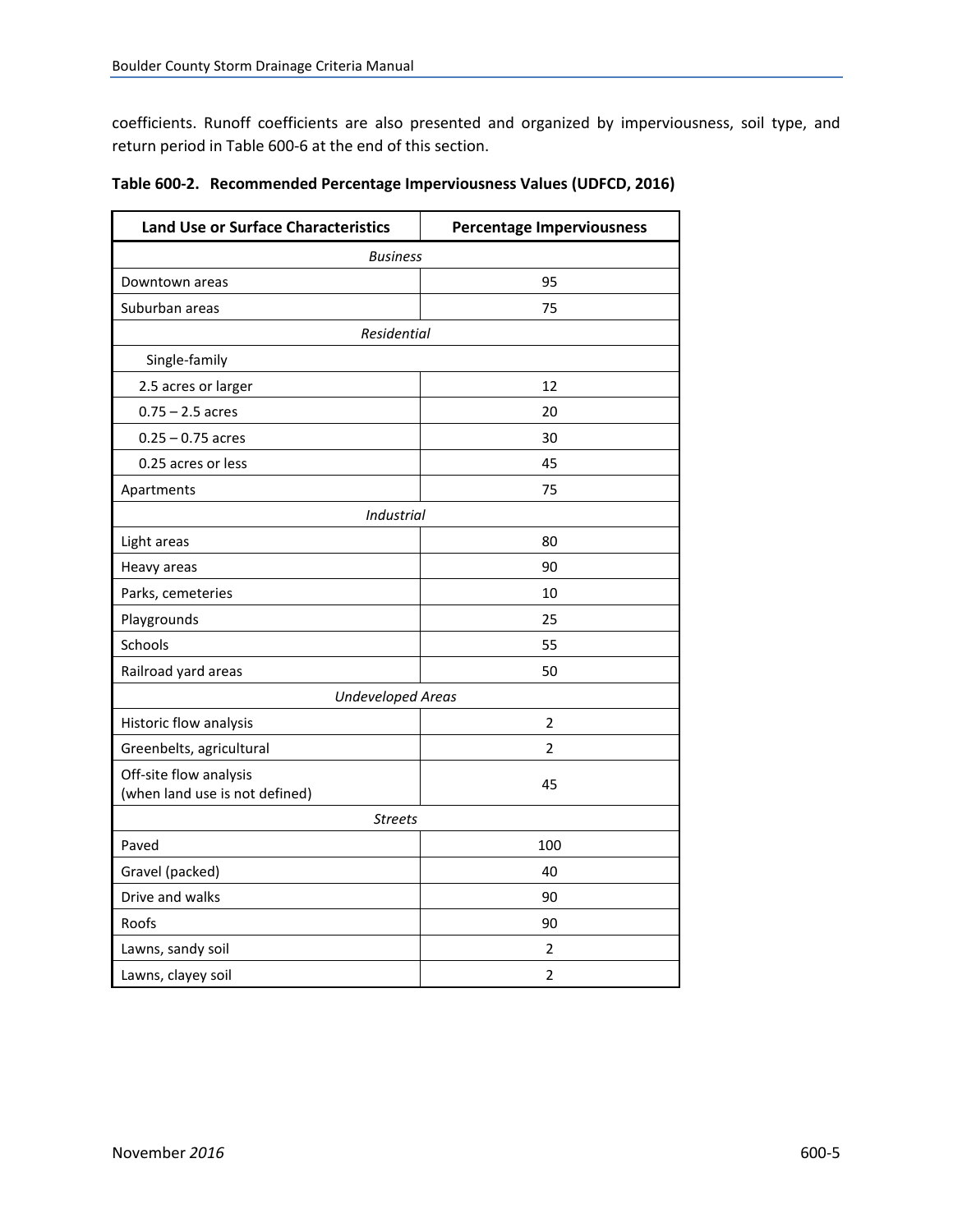<span id="page-6-0"></span>coefficients. Runoff coefficients are also presented and organized by imperviousness, soil type, and return period in Table 600-6 at the end of this section.

| <b>Land Use or Surface Characteristics</b> | <b>Percentage Imperviousness</b> |  |  |  |  |  |  |
|--------------------------------------------|----------------------------------|--|--|--|--|--|--|
| <b>Business</b>                            |                                  |  |  |  |  |  |  |
| Downtown areas                             | 95                               |  |  |  |  |  |  |
| Suburban areas                             | 75                               |  |  |  |  |  |  |
| Residential                                |                                  |  |  |  |  |  |  |
| Single-family                              |                                  |  |  |  |  |  |  |
| 2.5 acres or larger                        | 12                               |  |  |  |  |  |  |
| $0.75 - 2.5$ acres                         | 20                               |  |  |  |  |  |  |
| $0.25 - 0.75$ acres                        | 30                               |  |  |  |  |  |  |
| 0.25 acres or less                         | 45                               |  |  |  |  |  |  |
| Apartments                                 | 75                               |  |  |  |  |  |  |
| <b>Industrial</b>                          |                                  |  |  |  |  |  |  |
| Light areas                                | 80                               |  |  |  |  |  |  |
| Heavy areas                                | 90                               |  |  |  |  |  |  |
| Parks, cemeteries                          | 10                               |  |  |  |  |  |  |
| Playgrounds                                | 25                               |  |  |  |  |  |  |
| Schools                                    | 55                               |  |  |  |  |  |  |
| Railroad yard areas                        | 50                               |  |  |  |  |  |  |
| <b>Undeveloped Areas</b>                   |                                  |  |  |  |  |  |  |
| Historic flow analysis                     | 2                                |  |  |  |  |  |  |
| Greenbelts, agricultural                   | $\overline{2}$                   |  |  |  |  |  |  |
| Off-site flow analysis                     | 45                               |  |  |  |  |  |  |
| (when land use is not defined)             |                                  |  |  |  |  |  |  |
| <b>Streets</b>                             |                                  |  |  |  |  |  |  |
| Paved                                      | 100                              |  |  |  |  |  |  |
| Gravel (packed)                            | 40                               |  |  |  |  |  |  |
| Drive and walks                            | 90                               |  |  |  |  |  |  |
| Roofs                                      | 90                               |  |  |  |  |  |  |
| Lawns, sandy soil                          | 2                                |  |  |  |  |  |  |
| Lawns, clayey soil                         | 2                                |  |  |  |  |  |  |

|  |  |  | Table 600-2. Recommended Percentage Imperviousness Values (UDFCD, 2016) |  |  |
|--|--|--|-------------------------------------------------------------------------|--|--|
|--|--|--|-------------------------------------------------------------------------|--|--|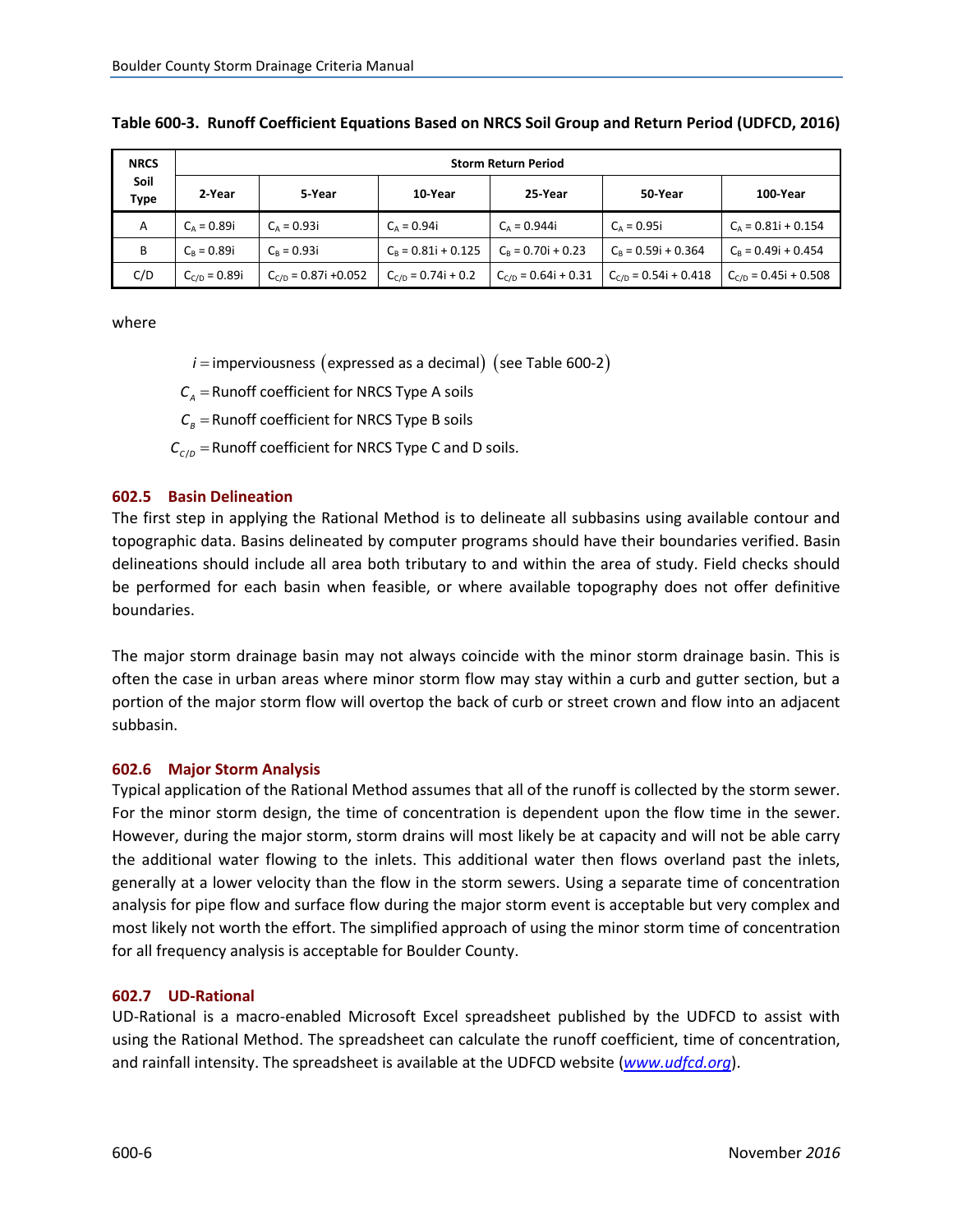| <b>NRCS</b>  | <b>Storm Return Period</b> |                           |                         |                          |                           |                           |  |  |
|--------------|----------------------------|---------------------------|-------------------------|--------------------------|---------------------------|---------------------------|--|--|
| Soil<br>Type | 2-Year                     | 5-Year                    | 10-Year                 | 25-Year                  | 50-Year                   | 100-Year                  |  |  |
| A            | $C_A = 0.89i$              | $C_A = 0.93i$             | $C_{\rm A} = 0.94i$     | $C_A = 0.944i$           | $C_A = 0.95i$             | $C_A = 0.81i + 0.154$     |  |  |
| B            | $C_R = 0.89i$              | $C_R = 0.93i$             | $C_B = 0.81i + 0.125$   | $C_R = 0.70i + 0.23$     | $C_R = 0.59i + 0.364$     | $C_R = 0.49i + 0.454$     |  |  |
| C/D          | $C_{C/D} = 0.89i$          | $C_{C/D} = 0.87i + 0.052$ | $C_{C/D} = 0.74i + 0.2$ | $C_{C/D} = 0.64i + 0.31$ | $C_{C/D} = 0.54i + 0.418$ | $C_{C/D} = 0.45i + 0.508$ |  |  |

#### <span id="page-7-0"></span>**Table 600-3. Runoff Coefficient Equations Based on NRCS Soil Group and Return Period (UDFCD, 2016)**

where

- $i$  = imperviousness (expressed as a decimal) (see Table 600-2)
- $\textsf{C}_\text{\tiny A}$  = Runoff coefficient for NRCS Type A soils
- $\mathcal{C}_\textit{B}$  = Runoff coefficient for NRCS Type B soils
- $C_{c/D}$  = Runoff coefficient for NRCS Type C and D soils.

#### **602.5 Basin Delineation**

The first step in applying the Rational Method is to delineate all subbasins using available contour and topographic data. Basins delineated by computer programs should have their boundaries verified. Basin delineations should include all area both tributary to and within the area of study. Field checks should be performed for each basin when feasible, or where available topography does not offer definitive boundaries.

The major storm drainage basin may not always coincide with the minor storm drainage basin. This is often the case in urban areas where minor storm flow may stay within a curb and gutter section, but a portion of the major storm flow will overtop the back of curb or street crown and flow into an adjacent subbasin.

#### **602.6 Major Storm Analysis**

Typical application of the Rational Method assumes that all of the runoff is collected by the storm sewer. For the minor storm design, the time of concentration is dependent upon the flow time in the sewer. However, during the major storm, storm drains will most likely be at capacity and will not be able carry the additional water flowing to the inlets. This additional water then flows overland past the inlets, generally at a lower velocity than the flow in the storm sewers. Using a separate time of concentration analysis for pipe flow and surface flow during the major storm event is acceptable but very complex and most likely not worth the effort. The simplified approach of using the minor storm time of concentration for all frequency analysis is acceptable for Boulder County.

#### **602.7 UD-Rational**

UD-Rational is a macro-enabled Microsoft Excel spreadsheet published by the UDFCD to assist with using the Rational Method. The spreadsheet can calculate the runoff coefficient, time of concentration, and rainfall intensity. The spreadsheet is available at the UDFCD website (*[www.udfcd.org](http://www.udfcd.org/)*).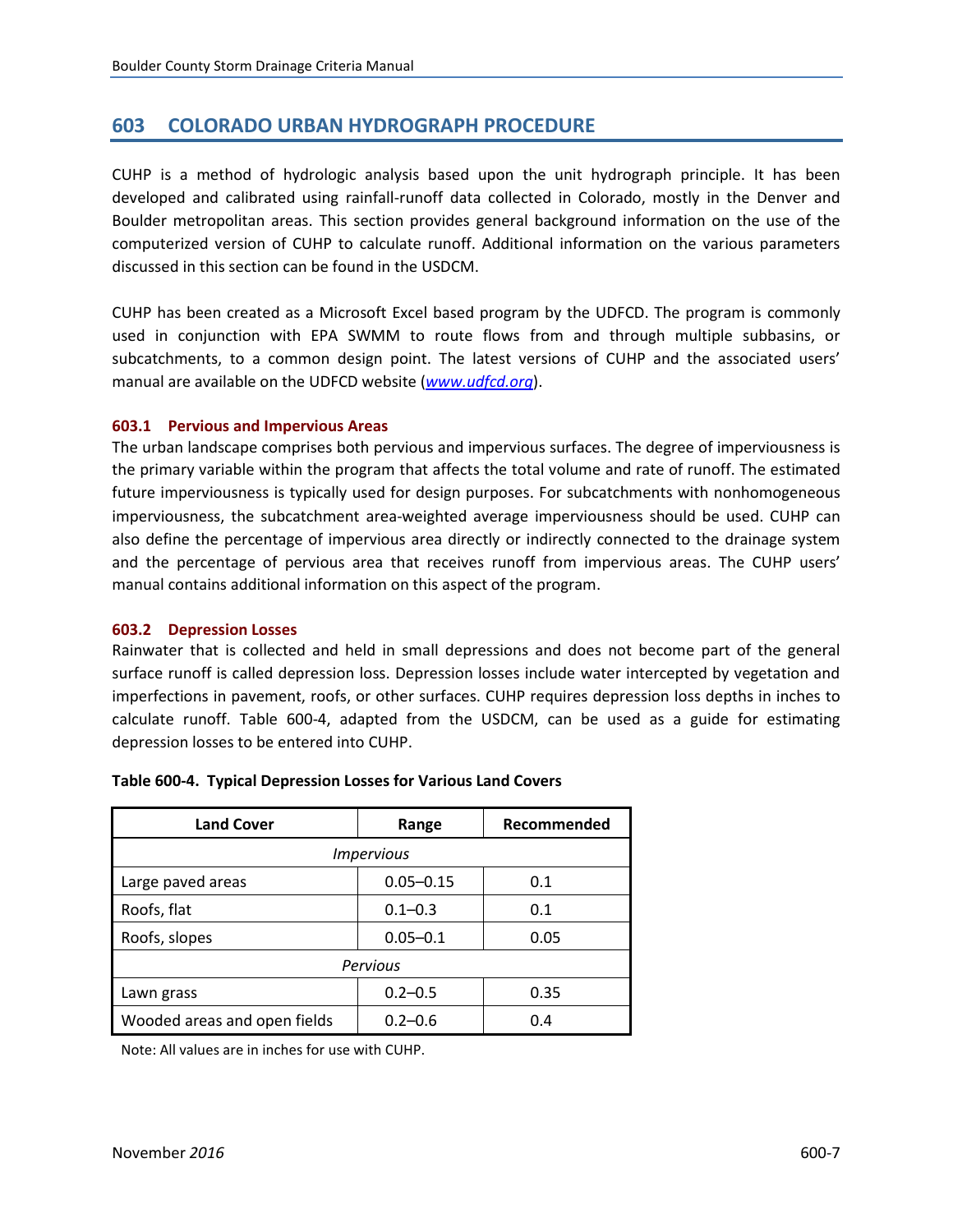# <span id="page-8-0"></span>**603 COLORADO URBAN HYDROGRAPH PROCEDURE**

CUHP is a method of hydrologic analysis based upon the unit hydrograph principle. It has been developed and calibrated using rainfall-runoff data collected in Colorado, mostly in the Denver and Boulder metropolitan areas. This section provides general background information on the use of the computerized version of CUHP to calculate runoff. Additional information on the various parameters discussed in this section can be found in the USDCM.

CUHP has been created as a Microsoft Excel based program by the UDFCD. The program is commonly used in conjunction with EPA SWMM to route flows from and through multiple subbasins, or subcatchments, to a common design point. The latest versions of CUHP and the associated users' manual are available on the UDFCD website (*[www.udfcd.org](http://www.udfcd.org/)*).

#### **603.1 Pervious and Impervious Areas**

The urban landscape comprises both pervious and impervious surfaces. The degree of imperviousness is the primary variable within the program that affects the total volume and rate of runoff. The estimated future imperviousness is typically used for design purposes. For subcatchments with nonhomogeneous imperviousness, the subcatchment area-weighted average imperviousness should be used. CUHP can also define the percentage of impervious area directly or indirectly connected to the drainage system and the percentage of pervious area that receives runoff from impervious areas. The CUHP users' manual contains additional information on this aspect of the program.

#### **603.2 Depression Losses**

Rainwater that is collected and held in small depressions and does not become part of the general surface runoff is called depression loss. Depression losses include water intercepted by vegetation and imperfections in pavement, roofs, or other surfaces. CUHP requires depression loss depths in inches to calculate runoff. Table 600-4, adapted from the USDCM, can be used as a guide for estimating depression losses to be entered into CUHP.

| <b>Land Cover</b>            | Range         | Recommended |  |  |  |
|------------------------------|---------------|-------------|--|--|--|
| <b>Impervious</b>            |               |             |  |  |  |
| Large paved areas            | $0.05 - 0.15$ | 0.1         |  |  |  |
| Roofs, flat                  | $0.1 - 0.3$   | 0.1         |  |  |  |
| Roofs, slopes                | $0.05 - 0.1$  | 0.05        |  |  |  |
| Pervious                     |               |             |  |  |  |
| Lawn grass                   | $0.2 - 0.5$   | 0.35        |  |  |  |
| Wooded areas and open fields | $0.2 - 0.6$   | 0.4         |  |  |  |

|  | Table 600-4. Typical Depression Losses for Various Land Covers |  |
|--|----------------------------------------------------------------|--|
|--|----------------------------------------------------------------|--|

Note: All values are in inches for use with CUHP.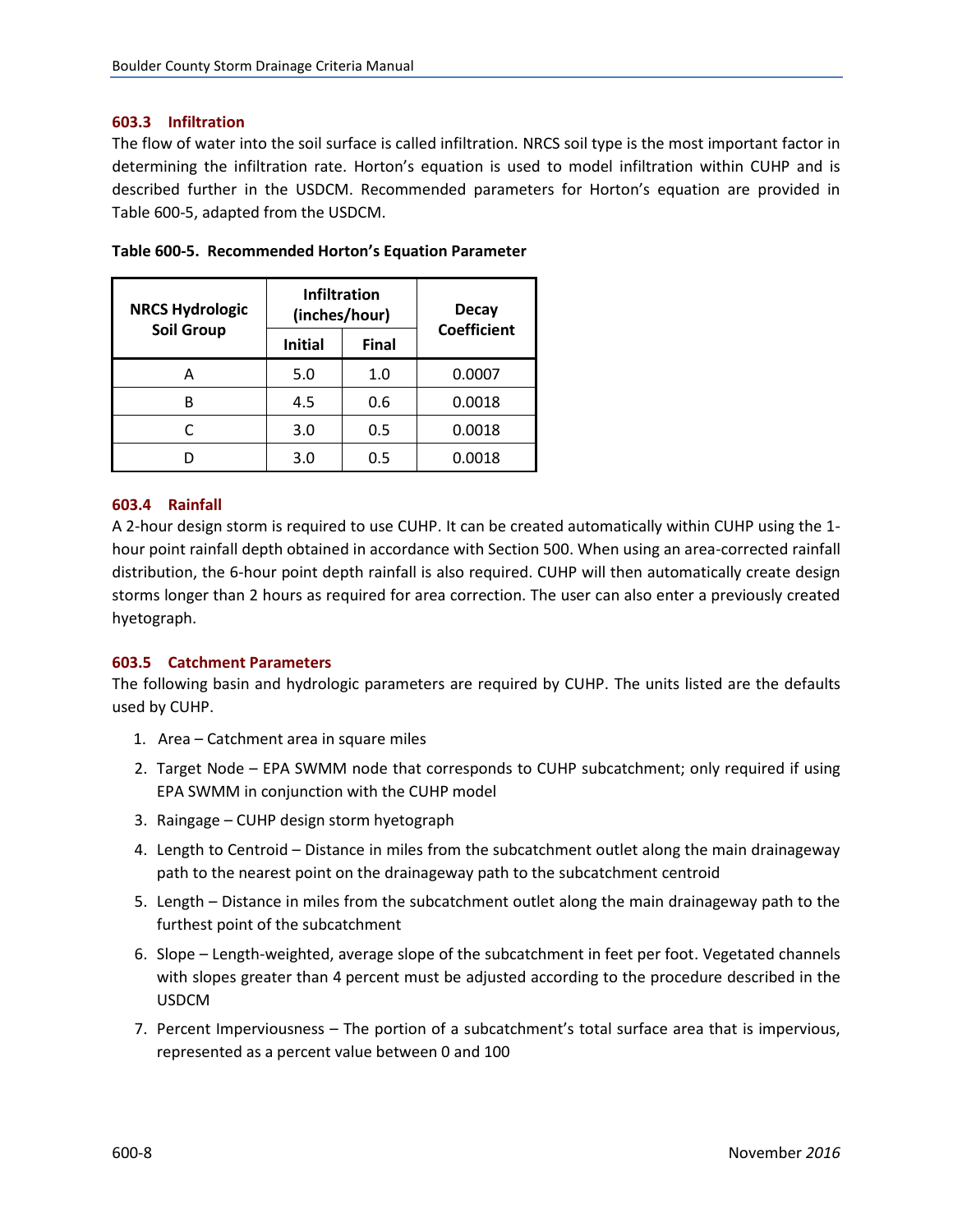#### <span id="page-9-0"></span>**603.3 Infiltration**

The flow of water into the soil surface is called infiltration. NRCS soil type is the most important factor in determining the infiltration rate. Horton's equation is used to model infiltration within CUHP and is described further in the USDCM. Recommended parameters for Horton's equation are provided in Table 600-5, adapted from the USDCM.

| <b>NRCS Hydrologic</b> |                | <b>Infiltration</b><br>(inches/hour) | <b>Decay</b><br><b>Coefficient</b> |  |
|------------------------|----------------|--------------------------------------|------------------------------------|--|
| <b>Soil Group</b>      | <b>Initial</b> | <b>Final</b>                         |                                    |  |
| А                      | 5.0            | 1.0                                  | 0.0007                             |  |
| R                      | 4.5            | 0.6                                  | 0.0018                             |  |
| C                      | 3.0            | 0.5                                  | 0.0018                             |  |
|                        | 3.0            | 0.5                                  | 0.0018                             |  |

|  |  | Table 600-5. Recommended Horton's Equation Parameter |
|--|--|------------------------------------------------------|
|--|--|------------------------------------------------------|

#### **603.4 Rainfall**

A 2-hour design storm is required to use CUHP. It can be created automatically within CUHP using the 1 hour point rainfall depth obtained in accordance with Section 500. When using an area-corrected rainfall distribution, the 6-hour point depth rainfall is also required. CUHP will then automatically create design storms longer than 2 hours as required for area correction. The user can also enter a previously created hyetograph.

#### **603.5 Catchment Parameters**

The following basin and hydrologic parameters are required by CUHP. The units listed are the defaults used by CUHP.

- 1. Area Catchment area in square miles
- 2. Target Node EPA SWMM node that corresponds to CUHP subcatchment; only required if using EPA SWMM in conjunction with the CUHP model
- 3. Raingage CUHP design storm hyetograph
- 4. Length to Centroid Distance in miles from the subcatchment outlet along the main drainageway path to the nearest point on the drainageway path to the subcatchment centroid
- 5. Length Distance in miles from the subcatchment outlet along the main drainageway path to the furthest point of the subcatchment
- 6. Slope Length-weighted, average slope of the subcatchment in feet per foot. Vegetated channels with slopes greater than 4 percent must be adjusted according to the procedure described in the USDCM
- 7. Percent Imperviousness The portion of a subcatchment's total surface area that is impervious, represented as a percent value between 0 and 100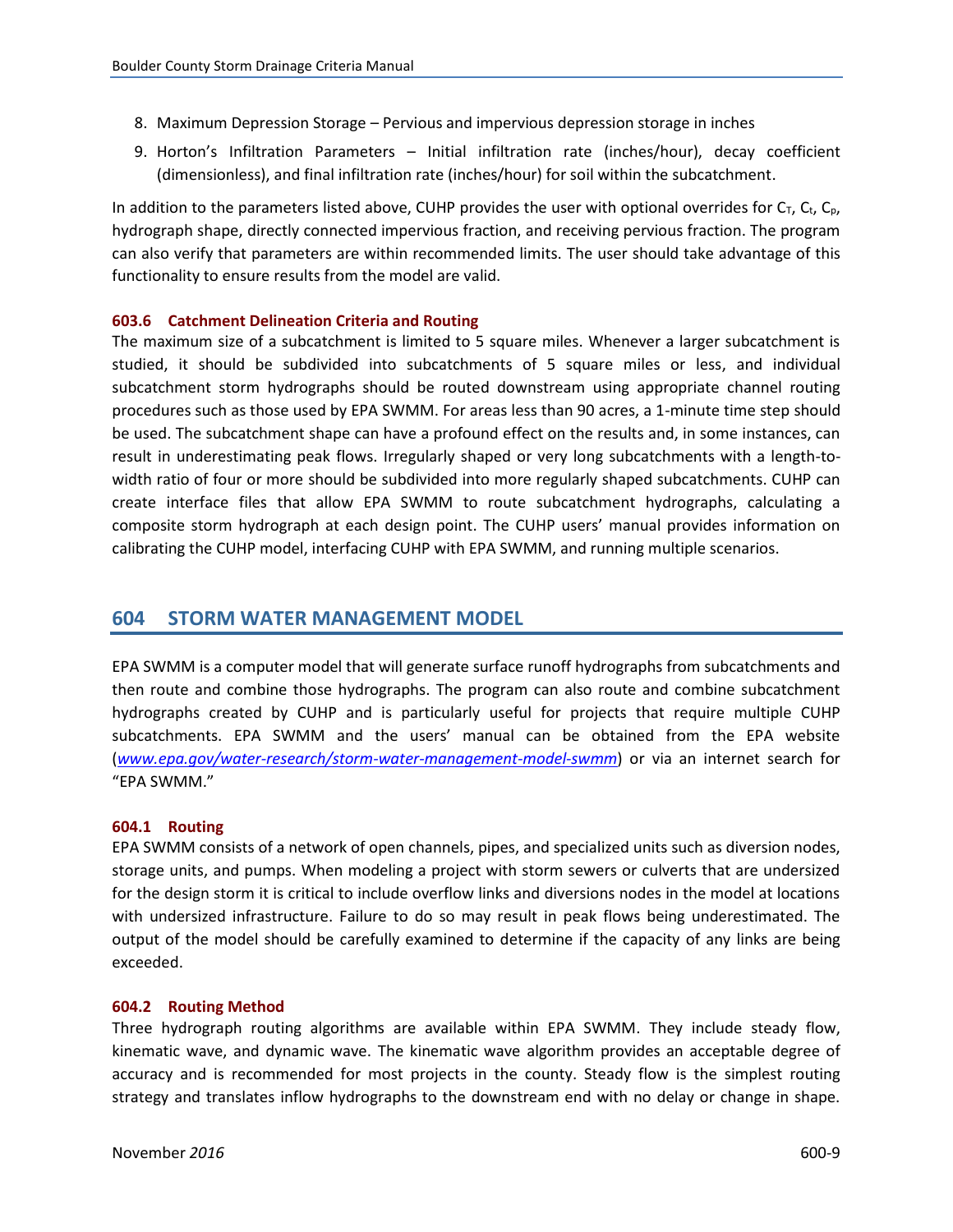- <span id="page-10-0"></span>8. Maximum Depression Storage – Pervious and impervious depression storage in inches
- 9. Horton's Infiltration Parameters Initial infiltration rate (inches/hour), decay coefficient (dimensionless), and final infiltration rate (inches/hour) for soil within the subcatchment.

In addition to the parameters listed above, CUHP provides the user with optional overrides for  $C_T$ ,  $C_t$ ,  $C_p$ , hydrograph shape, directly connected impervious fraction, and receiving pervious fraction. The program can also verify that parameters are within recommended limits. The user should take advantage of this functionality to ensure results from the model are valid.

#### **603.6 Catchment Delineation Criteria and Routing**

The maximum size of a subcatchment is limited to 5 square miles. Whenever a larger subcatchment is studied, it should be subdivided into subcatchments of 5 square miles or less, and individual subcatchment storm hydrographs should be routed downstream using appropriate channel routing procedures such as those used by EPA SWMM. For areas less than 90 acres, a 1-minute time step should be used. The subcatchment shape can have a profound effect on the results and, in some instances, can result in underestimating peak flows. Irregularly shaped or very long subcatchments with a length-towidth ratio of four or more should be subdivided into more regularly shaped subcatchments. CUHP can create interface files that allow EPA SWMM to route subcatchment hydrographs, calculating a composite storm hydrograph at each design point. The CUHP users' manual provides information on calibrating the CUHP model, interfacing CUHP with EPA SWMM, and running multiple scenarios.

### **604 STORM WATER MANAGEMENT MODEL**

EPA SWMM is a computer model that will generate surface runoff hydrographs from subcatchments and then route and combine those hydrographs. The program can also route and combine subcatchment hydrographs created by CUHP and is particularly useful for projects that require multiple CUHP subcatchments. EPA SWMM and the users' manual can be obtained from the EPA website (*[www.epa.gov/water-research/storm-water-management-model-swmm](http://www.epa.gov/water-research/storm-water-management-model-swmm)*) or via an internet search for "EPA SWMM."

#### **604.1 Routing**

EPA SWMM consists of a network of open channels, pipes, and specialized units such as diversion nodes, storage units, and pumps. When modeling a project with storm sewers or culverts that are undersized for the design storm it is critical to include overflow links and diversions nodes in the model at locations with undersized infrastructure. Failure to do so may result in peak flows being underestimated. The output of the model should be carefully examined to determine if the capacity of any links are being exceeded.

#### **604.2 Routing Method**

Three hydrograph routing algorithms are available within EPA SWMM. They include steady flow, kinematic wave, and dynamic wave. The kinematic wave algorithm provides an acceptable degree of accuracy and is recommended for most projects in the county. Steady flow is the simplest routing strategy and translates inflow hydrographs to the downstream end with no delay or change in shape.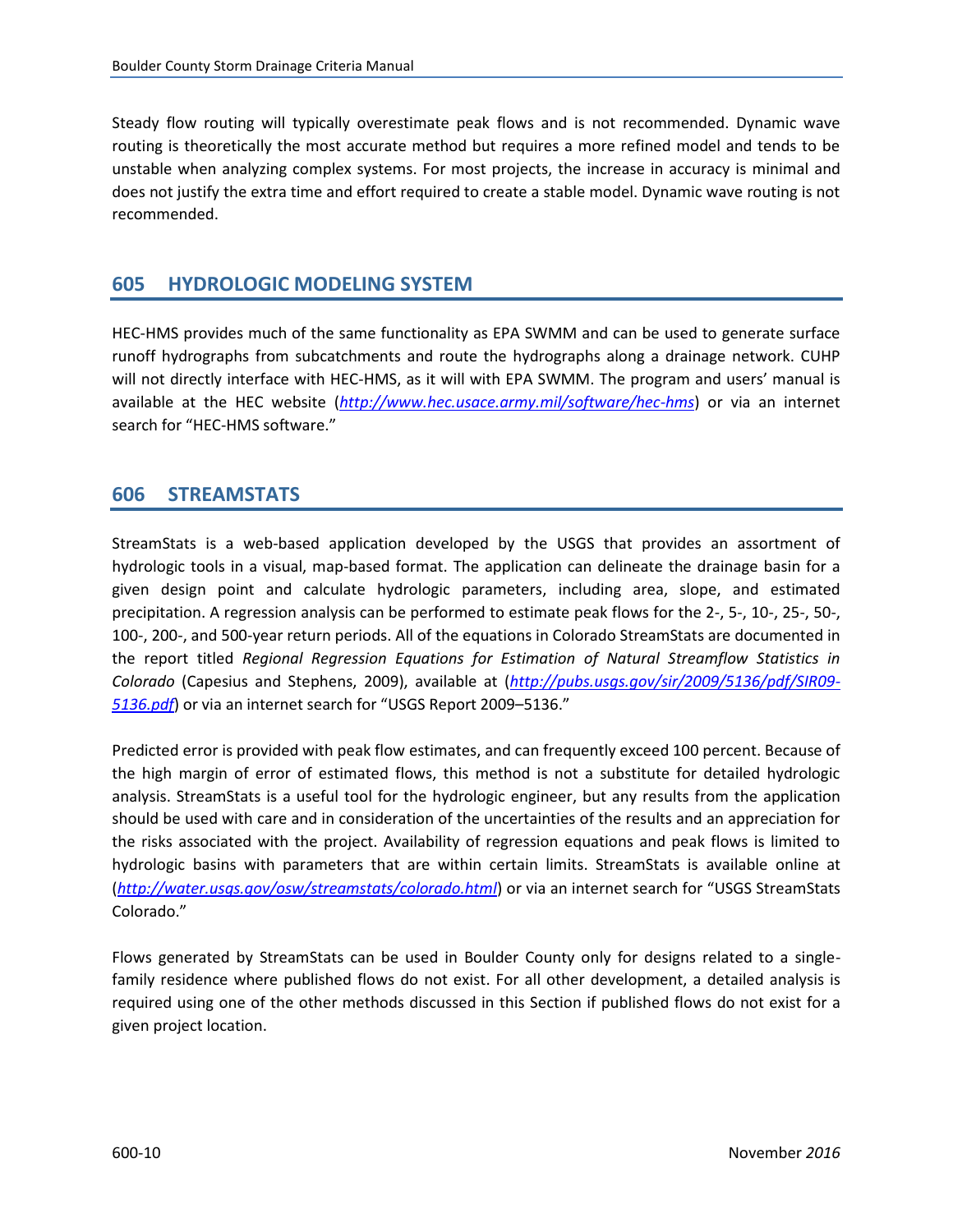<span id="page-11-0"></span>Steady flow routing will typically overestimate peak flows and is not recommended. Dynamic wave routing is theoretically the most accurate method but requires a more refined model and tends to be unstable when analyzing complex systems. For most projects, the increase in accuracy is minimal and does not justify the extra time and effort required to create a stable model. Dynamic wave routing is not recommended.

# **605 HYDROLOGIC MODELING SYSTEM**

HEC-HMS provides much of the same functionality as EPA SWMM and can be used to generate surface runoff hydrographs from subcatchments and route the hydrographs along a drainage network. CUHP will not directly interface with HEC-HMS, as it will with EPA SWMM. The program and users' manual is available at the HEC website (*<http://www.hec.usace.army.mil/software/hec-hms>*) or via an internet search for "HEC-HMS software."

# **606 STREAMSTATS**

StreamStats is a web-based application developed by the USGS that provides an assortment of hydrologic tools in a visual, map-based format. The application can delineate the drainage basin for a given design point and calculate hydrologic parameters, including area, slope, and estimated precipitation. A regression analysis can be performed to estimate peak flows for the 2-, 5-, 10-, 25-, 50-, 100-, 200-, and 500-year return periods. All of the equations in Colorado StreamStats are documented in the report titled *Regional Regression Equations for Estimation of Natural Streamflow Statistics in Colorado* (Capesius and Stephens, 2009), available at (*[http://pubs.usgs.gov/sir/2009/5136/pdf/SIR09-](http://pubs.usgs.gov/sir/2009/5136/pdf/SIR09-5136.pdf) [5136.pdf](http://pubs.usgs.gov/sir/2009/5136/pdf/SIR09-5136.pdf)*) or via an internet search for "USGS Report 2009–5136."

Predicted error is provided with peak flow estimates, and can frequently exceed 100 percent. Because of the high margin of error of estimated flows, this method is not a substitute for detailed hydrologic analysis. StreamStats is a useful tool for the hydrologic engineer, but any results from the application should be used with care and in consideration of the uncertainties of the results and an appreciation for the risks associated with the project. Availability of regression equations and peak flows is limited to hydrologic basins with parameters that are within certain limits. StreamStats is available online at (*<http://water.usgs.gov/osw/streamstats/colorado.html>*) or via an internet search for "USGS StreamStats Colorado."

Flows generated by StreamStats can be used in Boulder County only for designs related to a singlefamily residence where published flows do not exist. For all other development, a detailed analysis is required using one of the other methods discussed in this Section if published flows do not exist for a given project location.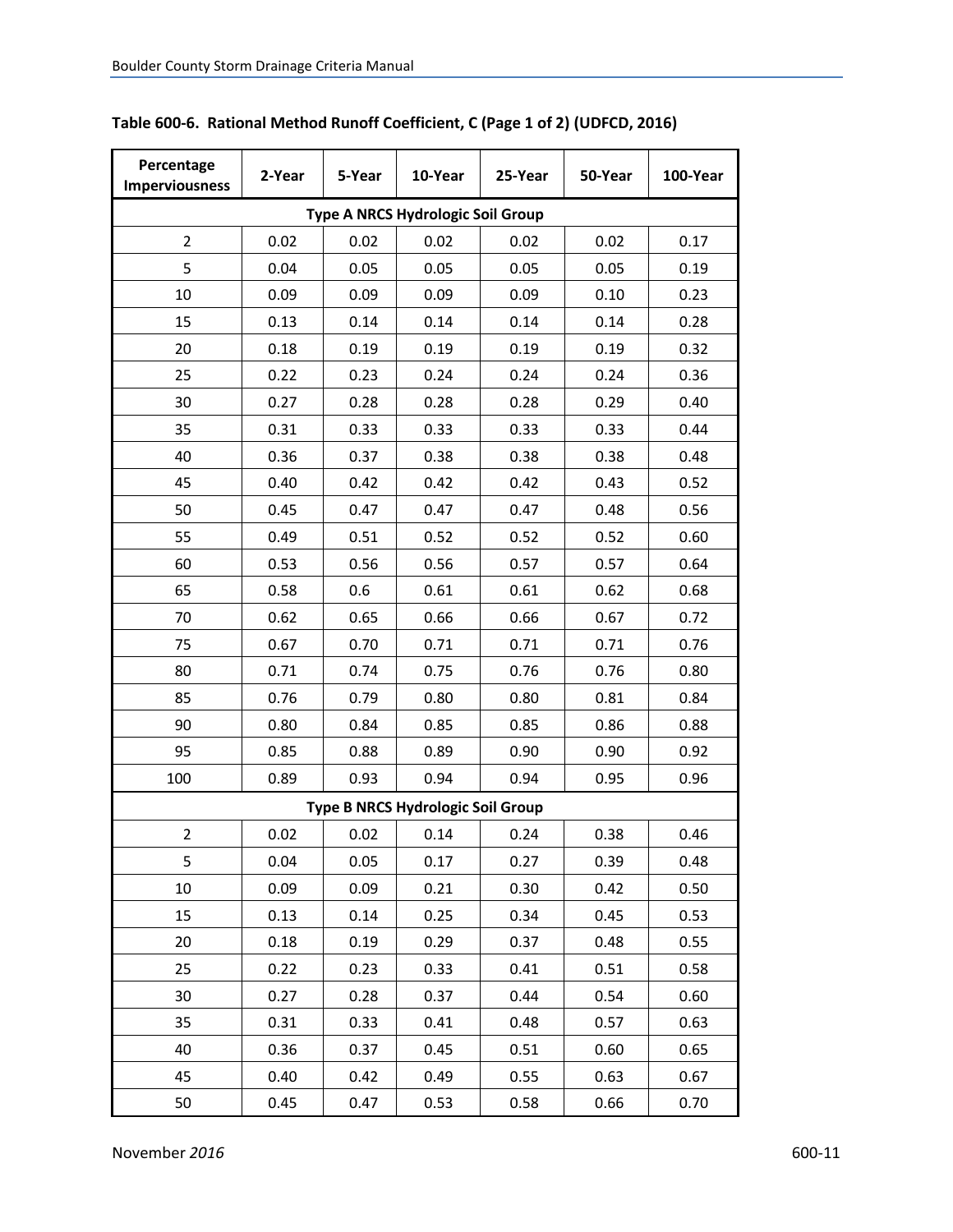| Percentage<br><b>Imperviousness</b> | 2-Year | 5-Year | 10-Year                           | 25-Year | 50-Year | 100-Year |  |  |
|-------------------------------------|--------|--------|-----------------------------------|---------|---------|----------|--|--|
| Type A NRCS Hydrologic Soil Group   |        |        |                                   |         |         |          |  |  |
| 2                                   | 0.02   | 0.02   | 0.02                              | 0.02    | 0.02    | 0.17     |  |  |
| 5                                   | 0.04   | 0.05   | 0.05                              | 0.05    | 0.05    | 0.19     |  |  |
| 10                                  | 0.09   | 0.09   | 0.09                              | 0.09    | 0.10    | 0.23     |  |  |
| 15                                  | 0.13   | 0.14   | 0.14                              | 0.14    | 0.14    | 0.28     |  |  |
| 20                                  | 0.18   | 0.19   | 0.19                              | 0.19    | 0.19    | 0.32     |  |  |
| 25                                  | 0.22   | 0.23   | 0.24                              | 0.24    | 0.24    | 0.36     |  |  |
| 30                                  | 0.27   | 0.28   | 0.28                              | 0.28    | 0.29    | 0.40     |  |  |
| 35                                  | 0.31   | 0.33   | 0.33                              | 0.33    | 0.33    | 0.44     |  |  |
| 40                                  | 0.36   | 0.37   | 0.38                              | 0.38    | 0.38    | 0.48     |  |  |
| 45                                  | 0.40   | 0.42   | 0.42                              | 0.42    | 0.43    | 0.52     |  |  |
| 50                                  | 0.45   | 0.47   | 0.47                              | 0.47    | 0.48    | 0.56     |  |  |
| 55                                  | 0.49   | 0.51   | 0.52                              | 0.52    | 0.52    | 0.60     |  |  |
| 60                                  | 0.53   | 0.56   | 0.56                              | 0.57    | 0.57    | 0.64     |  |  |
| 65                                  | 0.58   | 0.6    | 0.61                              | 0.61    | 0.62    | 0.68     |  |  |
| 70                                  | 0.62   | 0.65   | 0.66                              | 0.66    | 0.67    | 0.72     |  |  |
| 75                                  | 0.67   | 0.70   | 0.71                              | 0.71    | 0.71    | 0.76     |  |  |
| 80                                  | 0.71   | 0.74   | 0.75                              | 0.76    | 0.76    | 0.80     |  |  |
| 85                                  | 0.76   | 0.79   | 0.80                              | 0.80    | 0.81    | 0.84     |  |  |
| 90                                  | 0.80   | 0.84   | 0.85                              | 0.85    | 0.86    | 0.88     |  |  |
| 95                                  | 0.85   | 0.88   | 0.89                              | 0.90    | 0.90    | 0.92     |  |  |
| 100                                 | 0.89   | 0.93   | 0.94                              | 0.94    | 0.95    | 0.96     |  |  |
|                                     |        |        | Type B NRCS Hydrologic Soil Group |         |         |          |  |  |
| $\overline{2}$                      | 0.02   | 0.02   | 0.14                              | 0.24    | 0.38    | 0.46     |  |  |
| 5                                   | 0.04   | 0.05   | 0.17                              | 0.27    | 0.39    | 0.48     |  |  |
| 10                                  | 0.09   | 0.09   | 0.21                              | 0.30    | 0.42    | 0.50     |  |  |
| 15                                  | 0.13   | 0.14   | 0.25                              | 0.34    | 0.45    | 0.53     |  |  |
| 20                                  | 0.18   | 0.19   | 0.29                              | 0.37    | 0.48    | 0.55     |  |  |
| 25                                  | 0.22   | 0.23   | 0.33                              | 0.41    | 0.51    | 0.58     |  |  |
| 30                                  | 0.27   | 0.28   | 0.37                              | 0.44    | 0.54    | 0.60     |  |  |
| 35                                  | 0.31   | 0.33   | 0.41                              | 0.48    | 0.57    | 0.63     |  |  |
| 40                                  | 0.36   | 0.37   | 0.45                              | 0.51    | 0.60    | 0.65     |  |  |
| 45                                  | 0.40   | 0.42   | 0.49                              | 0.55    | 0.63    | 0.67     |  |  |
| 50                                  | 0.45   | 0.47   | 0.53                              | 0.58    | 0.66    | 0.70     |  |  |

# <span id="page-12-0"></span>**Table 600-6. Rational Method Runoff Coefficient, C (Page 1 of 2) (UDFCD, 2016)**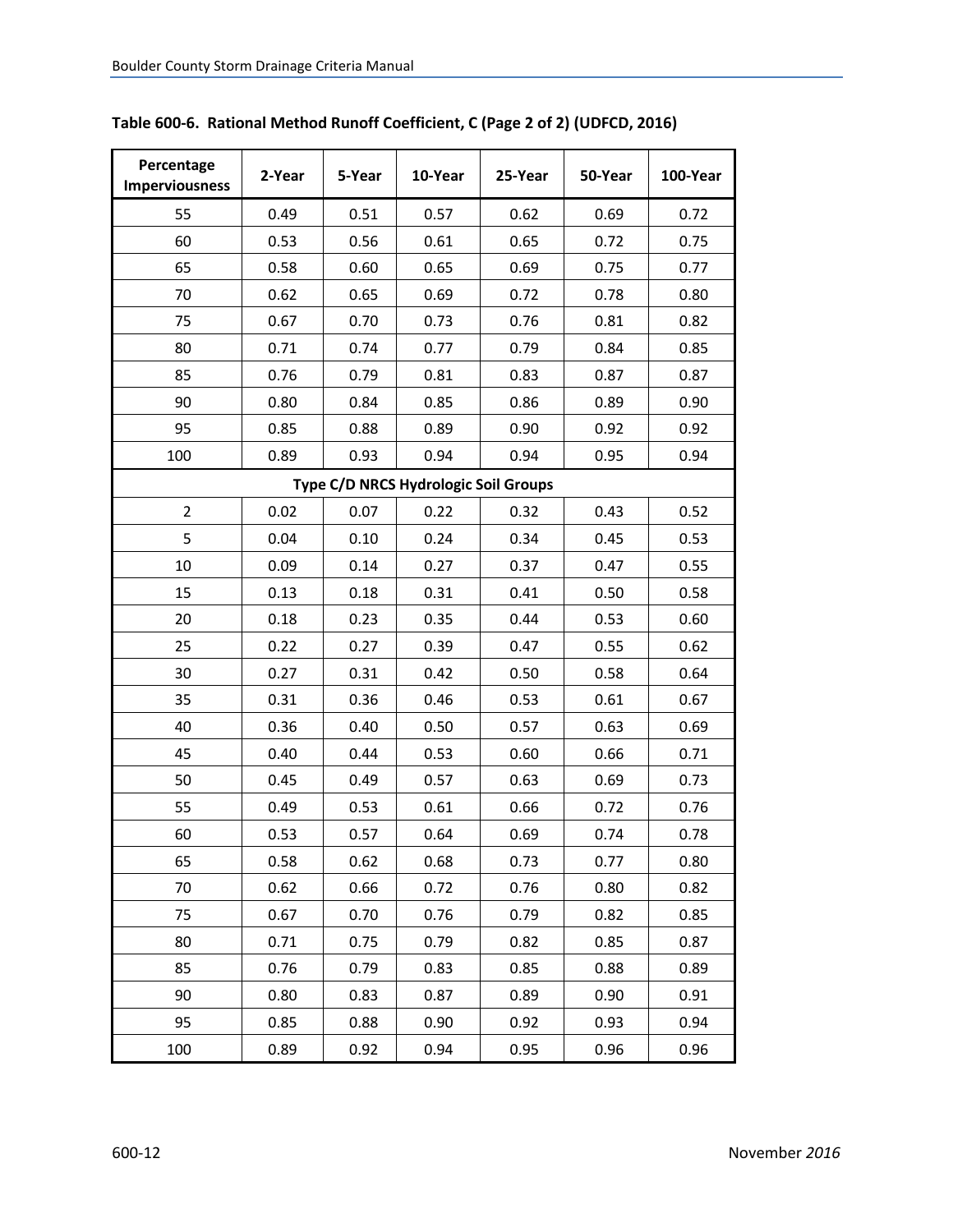| Percentage<br><b>Imperviousness</b> | 2-Year | 5-Year | 10-Year                              | 25-Year | 50-Year | 100-Year |
|-------------------------------------|--------|--------|--------------------------------------|---------|---------|----------|
| 55                                  | 0.49   | 0.51   | 0.57                                 | 0.62    | 0.69    | 0.72     |
| 60                                  | 0.53   | 0.56   | 0.61                                 | 0.65    | 0.72    | 0.75     |
| 65                                  | 0.58   | 0.60   | 0.65                                 | 0.69    | 0.75    | 0.77     |
| 70                                  | 0.62   | 0.65   | 0.69                                 | 0.72    | 0.78    | 0.80     |
| 75                                  | 0.67   | 0.70   | 0.73                                 | 0.76    | 0.81    | 0.82     |
| 80                                  | 0.71   | 0.74   | 0.77                                 | 0.79    | 0.84    | 0.85     |
| 85                                  | 0.76   | 0.79   | 0.81                                 | 0.83    | 0.87    | 0.87     |
| 90                                  | 0.80   | 0.84   | 0.85                                 | 0.86    | 0.89    | 0.90     |
| 95                                  | 0.85   | 0.88   | 0.89                                 | 0.90    | 0.92    | 0.92     |
| 100                                 | 0.89   | 0.93   | 0.94                                 | 0.94    | 0.95    | 0.94     |
|                                     |        |        | Type C/D NRCS Hydrologic Soil Groups |         |         |          |
| 2                                   | 0.02   | 0.07   | 0.22                                 | 0.32    | 0.43    | 0.52     |
| 5                                   | 0.04   | 0.10   | 0.24                                 | 0.34    | 0.45    | 0.53     |
| 10                                  | 0.09   | 0.14   | 0.27                                 | 0.37    | 0.47    | 0.55     |
| 15                                  | 0.13   | 0.18   | 0.31                                 | 0.41    | 0.50    | 0.58     |
| 20                                  | 0.18   | 0.23   | 0.35                                 | 0.44    | 0.53    | 0.60     |
| 25                                  | 0.22   | 0.27   | 0.39                                 | 0.47    | 0.55    | 0.62     |
| 30                                  | 0.27   | 0.31   | 0.42                                 | 0.50    | 0.58    | 0.64     |
| 35                                  | 0.31   | 0.36   | 0.46                                 | 0.53    | 0.61    | 0.67     |
| 40                                  | 0.36   | 0.40   | 0.50                                 | 0.57    | 0.63    | 0.69     |
| 45                                  | 0.40   | 0.44   | 0.53                                 | 0.60    | 0.66    | 0.71     |
| 50                                  | 0.45   | 0.49   | 0.57                                 | 0.63    | 0.69    | 0.73     |
| 55                                  | 0.49   | 0.53   | 0.61                                 | 0.66    | 0.72    | 0.76     |
| 60                                  | 0.53   | 0.57   | 0.64                                 | 0.69    | 0.74    | 0.78     |
| 65                                  | 0.58   | 0.62   | 0.68                                 | 0.73    | 0.77    | 0.80     |
| 70                                  | 0.62   | 0.66   | 0.72                                 | 0.76    | 0.80    | 0.82     |
| 75                                  | 0.67   | 0.70   | 0.76                                 | 0.79    | 0.82    | 0.85     |
| 80                                  | 0.71   | 0.75   | 0.79                                 | 0.82    | 0.85    | 0.87     |
| 85                                  | 0.76   | 0.79   | 0.83                                 | 0.85    | 0.88    | 0.89     |
| 90                                  | 0.80   | 0.83   | 0.87                                 | 0.89    | 0.90    | 0.91     |
| 95                                  | 0.85   | 0.88   | 0.90                                 | 0.92    | 0.93    | 0.94     |
| 100                                 | 0.89   | 0.92   | 0.94                                 | 0.95    | 0.96    | 0.96     |

**Table 600-6. Rational Method Runoff Coefficient, C (Page 2 of 2) (UDFCD, 2016)**